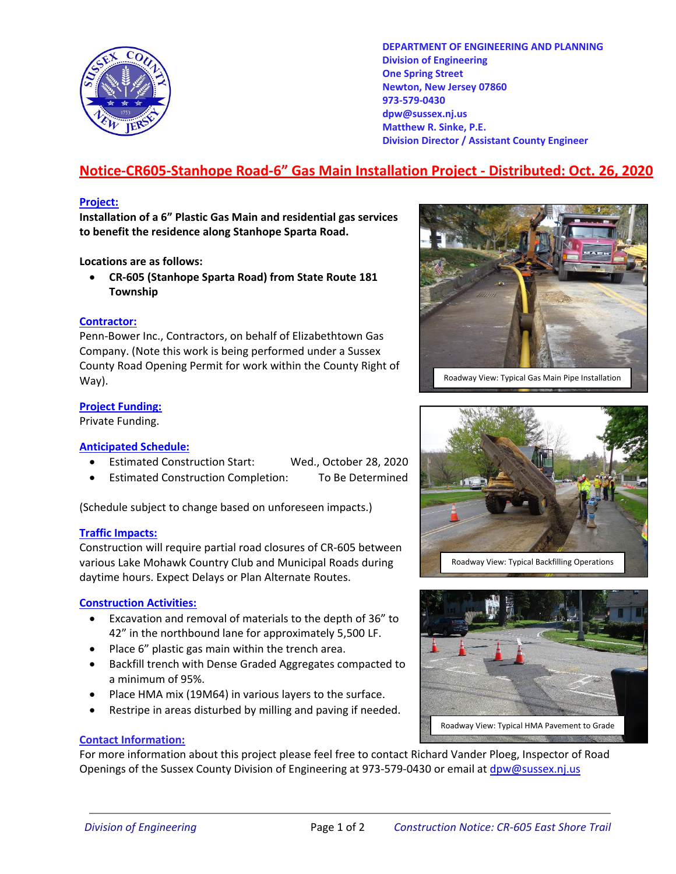

**DEPARTMENT OF ENGINEERING AND PLANNING Division of Engineering One Spring Street Newton, New Jersey 07860 973‐579‐0430 dpw@sussex.nj.us Matthew R. Sinke, P.E. Division Director / Assistant County Engineer**

# **Notice‐CR605‐Stanhope Road‐6" Gas Main Installation Project ‐ Distributed: Oct. 26, 2020**

### **Project:**

**Installation of a 6" Plastic Gas Main and residential gas services to benefit the residence along Stanhope Sparta Road.**

## **Locations are as follows:**

 **CR‐605 (Stanhope Sparta Road) from State Route 181 Township**

#### **Contractor:**

Penn‐Bower Inc., Contractors, on behalf of Elizabethtown Gas Company. (Note this work is being performed under a Sussex County Road Opening Permit for work within the County Right of Way).

## **Project Funding:**

Private Funding.

## **Anticipated Schedule:**

- Estimated Construction Start: Wed., October 28, 2020
- Estimated Construction Completion: To Be Determined

(Schedule subject to change based on unforeseen impacts.)

#### **Traffic Impacts:**

Construction will require partial road closures of CR‐605 between various Lake Mohawk Country Club and Municipal Roads during daytime hours. Expect Delays or Plan Alternate Routes.

## **Construction Activities:**

- Excavation and removal of materials to the depth of 36" to 42" in the northbound lane for approximately 5,500 LF.
- Place 6" plastic gas main within the trench area.
- Backfill trench with Dense Graded Aggregates compacted to a minimum of 95%.
- Place HMA mix (19M64) in various layers to the surface.
- Restripe in areas disturbed by milling and paving if needed.

#### **Contact Information:**

For more information about this project please feel free to contact Richard Vander Ploeg, Inspector of Road Openings of the Sussex County Division of Engineering at 973-579-0430 or email at dpw@sussex.nj.us



Roadway View: Typical Gas Main Pipe Installation